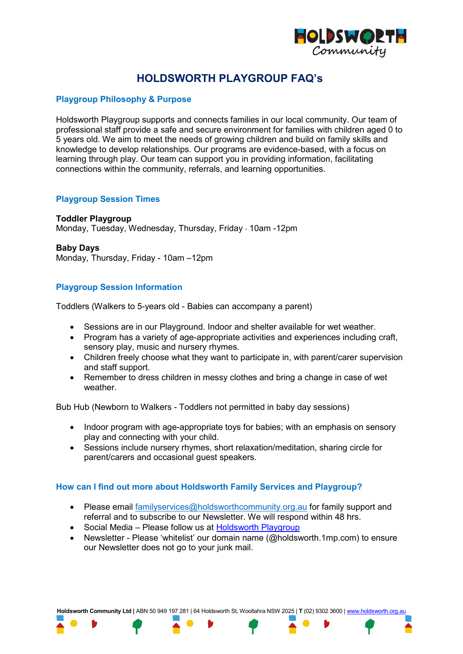

# **HOLDSWORTH PLAYGROUP FAQ's**

## **Playgroup Philosophy & Purpose**

Holdsworth Playgroup supports and connects families in our local community. Our team of professional staff provide a safe and secure environment for families with children aged 0 to 5 years old. We aim to meet the needs of growing children and build on family skills and knowledge to develop relationships. Our programs are evidence-based, with a focus on learning through play. Our team can support you in providing information, facilitating connections within the community, referrals, and learning opportunities.

### **Playgroup Session Times**

#### **Toddler Playgroup**

Monday, Tuesday, Wednesday, Thursday, Friday - 10am -12pm

#### **Baby Days**

Monday, Thursday, Friday - 10am –12pm

## **Playgroup Session Information**

Toddlers (Walkers to 5-years old - Babies can accompany a parent)

- Sessions are in our Playground. Indoor and shelter available for wet weather.
- Program has a variety of age-appropriate activities and experiences including craft, sensory play, music and nursery rhymes.
- Children freely choose what they want to participate in, with parent/carer supervision and staff support.
- Remember to dress children in messy clothes and bring a change in case of wet weather.

Bub Hub (Newborn to Walkers - Toddlers not permitted in baby day sessions)

- Indoor program with age-appropriate toys for babies; with an emphasis on sensory play and connecting with your child.
- Sessions include nursery rhymes, short relaxation/meditation, sharing circle for parent/carers and occasional guest speakers.

## **How can I find out more about Holdsworth Family Services and Playgroup?**

- Please email [familyservices@holdsworthcommunity.org.au](mailto:familyservices@holdsworthcommunity.org.au) for family support and referral and to subscribe to our Newsletter. We will respond within 48 hrs.
- Social Media Please follow us at [Holdsworth Playgroup](https://www.facebook.com/holdsworthplaygroup)
- Newsletter Please 'whitelist' our domain name (@holdsworth.1mp.com) to ensure our Newsletter does not go to your junk mail.

**Holdsworth Community Ltd |** ABN 50 949 197 281 | 64 Holdsworth St, Woollahra NSW 2025 | **T** (02) 9302 3600 [| www.holdsworth.org.au](http://www.holdsworth.org.au/)